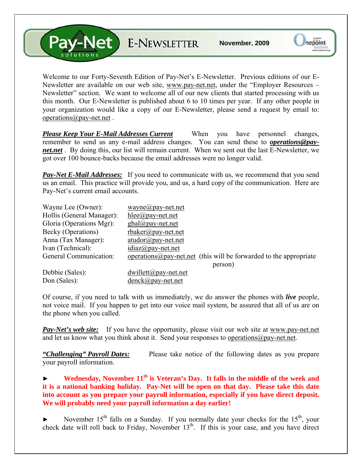V-Net E-NEWSLETTER

Welcome to our Forty-Seventh Edition of Pay-Net's E-Newsletter. Previous editions of our E-Newsletter are available on our web site, [www.pay-net.net](http://www.pay-net.net/), under the "Employer Resources – Newsletter" section. We want to welcome all of our new clients that started processing with us this month. Our E-Newsletter is published about 6 to 10 times per year. If any other people in your organization would like a copy of our E-Newsletter, please send a request by email to: [operations@pay-net.net](mailto:operations@pay-net.net) .

*Please Keep Your E-Mail Addresses Current* When you have personnel changes, remember to send us any e-mail address changes. You can send these to *[operations@pay](mailto:operations@pay-net.net)[net.net](mailto:operations@pay-net.net)* . By doing this, our list will remain current. When we sent out the last E-Newsletter, we got over 100 bounce-backs because the email addresses were no longer valid.

**Pay-Net E-Mail Addresses:** If you need to communicate with us, we recommend that you send us an email. This practice will provide you, and us, a hard copy of the communication. Here are Pay-Net's current email accounts.

| Wayne Lee (Owner):        | $wayne@pay-net.net$                                                        |
|---------------------------|----------------------------------------------------------------------------|
| Hollis (General Manager): | $hlee(\partial p$ ay-net.net                                               |
| Gloria (Operations Mgr):  | $gbal(\partial p$ ay-net.net                                               |
| Becky (Operations)        | $r$ baker@pay-net.net                                                      |
| Anna (Tax Manager):       | $atudor@pay-net.net$                                                       |
| Ivan (Technical):         | $idiaz@pay-net.net$                                                        |
| General Communication:    | operations $\omega$ pay-net net (this will be forwarded to the appropriate |
|                           | person)                                                                    |
| Debbie (Sales):           | $dwillet(\omega)$ pay-net.net                                              |
| Don (Sales):              | $denck@pay-net.net$                                                        |

Of course, if you need to talk with us immediately, we do answer the phones with *live* people, not voice mail. If you happen to get into our voice mail system, be assured that all of us are on the phone when you called.

*Pay-Net's web site:* If you have the opportunity, please visit our web site at [www.pay-net.net](http://www.pay-net.net/)  and let us know what you think about it. Send your responses to [operations@pay-net.net](mailto:website@pay-net.net).

*"Challenging" Payroll Dates:* Please take notice of the following dates as you prepare your payroll information.

Wednesday, November 11<sup>th</sup> is Veteran's Day. It falls in the middle of the week and **it is a national banking holiday. Pay-Net will be open on that day. Please take this date into account as you prepare your payroll information, especially if you have direct deposit. We will probably need your payroll information a day earlier!** 

November  $15<sup>th</sup>$  falls on a Sunday. If you normally date your checks for the  $15<sup>th</sup>$ , your check date will roll back to Friday, November  $13<sup>th</sup>$ . If this is your case, and you have direct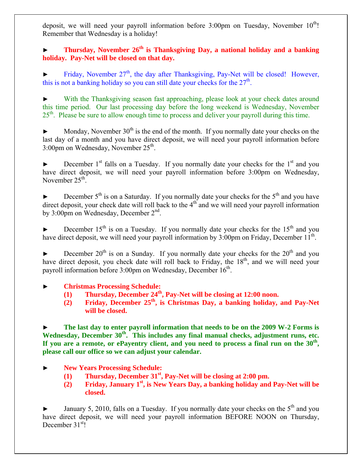deposit, we will need your payroll information before  $3:00 \text{pm}$  on Tuesday, November  $10^{\text{th}}$ ! Remember that Wednesday is a holiday!

## **Thursday, November 26<sup>th</sup> is Thanksgiving Day, a national holiday and a banking holiday. Pay-Net will be closed on that day.**

Friday, November  $27<sup>th</sup>$ , the day after Thanksgiving, Pay-Net will be closed! However, this is not a banking holiday so you can still date your checks for the  $27<sup>th</sup>$ .

With the Thanksgiving season fast approaching, please look at your check dates around this time period. Our last processing day before the long weekend is Wednesday, November 25<sup>th</sup>. Please be sure to allow enough time to process and deliver your payroll during this time.

 $\blacktriangleright$  Monday, November 30<sup>th</sup> is the end of the month. If you normally date your checks on the last day of a month and you have direct deposit, we will need your payroll information before  $3:00 \text{pm}$  on Wednesday, November  $25^{\text{th}}$ .

December  $1<sup>st</sup>$  falls on a Tuesday. If you normally date your checks for the  $1<sup>st</sup>$  and you have direct deposit, we will need your payroll information before 3:00pm on Wednesday, November  $25<sup>th</sup>$ .

December  $5<sup>th</sup>$  is on a Saturday. If you normally date your checks for the  $5<sup>th</sup>$  and you have direct deposit, your check date will roll back to the  $4<sup>th</sup>$  and we will need your payroll information by 3:00pm on Wednesday, December 2<sup>nd</sup>.

December  $15<sup>th</sup>$  is on a Tuesday. If you normally date your checks for the  $15<sup>th</sup>$  and you have direct deposit, we will need your payroll information by  $3:00 \text{pm}$  on Friday, December  $11^{\text{th}}$ .

December  $20^{th}$  is on a Sunday. If you normally date your checks for the  $20^{th}$  and you have direct deposit, you check date will roll back to Friday, the 18<sup>th</sup>, and we will need your payroll information before  $3:00 \text{pm}$  on Wednesday, December  $16^{\text{th}}$ .

► **Christmas Processing Schedule:** 

- **(1) Thursday, December 24th, Pay-Net will be closing at 12:00 noon.**
- **(2) Friday, December 25th, is Christmas Day, a banking holiday, and Pay-Net will be closed.**

The last day to enter payroll information that needs to be on the 2009 W-2 Forms is Wednesday, December 30<sup>th</sup>. This includes any final manual checks, adjustment runs, etc. **If you are a remote, or ePayentry client, and you need to process a final run on the 30th, please call our office so we can adjust your calendar.** 

► **New Years Processing Schedule:** 

- **(1) Thursday, December 31st, Pay-Net will be closing at 2:00 pm.**
- **(2) Friday, January 1st, is New Years Day, a banking holiday and Pay-Net will be closed.**

January 5, 2010, falls on a Tuesday. If you normally date your checks on the  $5<sup>th</sup>$  and you have direct deposit, we will need your payroll information BEFORE NOON on Thursday, December 31<sup>st</sup>!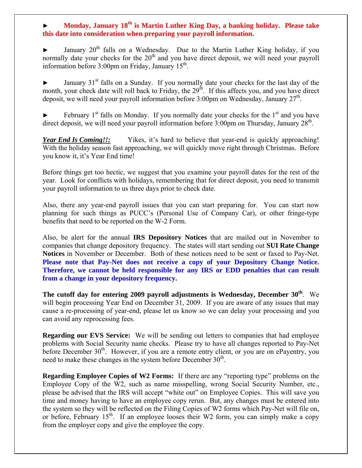### **Monday, January 18<sup>th</sup> is Martin Luther King Day, a banking holiday. Please take this date into consideration when preparing your payroll information.**

January  $20^{th}$  falls on a Wednesday. Due to the Martin Luther King holiday, if you normally date your checks for the  $20<sup>th</sup>$  and you have direct deposit, we will need your payroll information before  $3:00 \text{pm}$  on Friday, January  $15^{\text{th}}$ .

January  $31<sup>st</sup>$  falls on a Sunday. If you normally date your checks for the last day of the month, your check date will roll back to Friday, the 29<sup>th</sup>. If this affects you, and you have direct deposit, we will need your payroll information before 3:00pm on Wednesday, January  $27<sup>th</sup>$ .

February  $1<sup>st</sup>$  falls on Monday. If you normally date your checks for the  $1<sup>st</sup>$  and you have direct deposit, we will need your payroll information before  $3:00 \text{pm}$  on Thursday, January  $28^{\text{th}}$ .

*Year End Is Coming!!:* Yikes, it's hard to believe that year-end is quickly approaching! With the holiday season fast approaching, we will quickly move right through Christmas. Before you know it, it's Year End time!

Before things get too hectic, we suggest that you examine your payroll dates for the rest of the year. Look for conflicts with holidays, remembering that for direct deposit, you need to transmit your payroll information to us three days prior to check date.

Also, there any year-end payroll issues that you can start preparing for. You can start now planning for such things as PUCC's (Personal Use of Company Car), or other fringe-type benefits that need to be reported on the W-2 Form.

Also, be alert for the annual **IRS Depository Notices** that are mailed out in November to companies that change depository frequency. The states will start sending out **SUI Rate Change Notices** in November or December. Both of these notices need to be sent or faxed to Pay-Net. **Please note that Pay-Net does not receive a copy of your Depository Change Notice. Therefore, we cannot be held responsible for any IRS or EDD penalties that can result from a change in your depository frequency.**

The cutoff day for entering 2009 payroll adjustments is Wednesday, December 30<sup>th</sup>. We will begin processing Year End on December 31, 2009. If you are aware of any issues that may cause a re-processing of year-end, please let us know so we can delay your processing and you can avoid any reprocessing fees.

**Regarding our EVS Service:** We will be sending out letters to companies that had employee problems with Social Security name checks. Please try to have all changes reported to Pay-Net before December 30<sup>th</sup>. However, if you are a remote entry client, or you are on ePayentry, you need to make these changes in the system before December  $30<sup>th</sup>$ .

**Regarding Employee Copies of W2 Forms:** If there are any "reporting type" problems on the Employee Copy of the W2, such as name misspelling, wrong Social Security Number, etc., please be advised that the IRS will accept "white out" on Employee Copies. This will save you time and money having to have an employee copy rerun. But, any changes must be entered into the system so they will be reflected on the Filing Copies of W2 forms which Pay-Net will file on, or before, February  $15<sup>th</sup>$ . If an employee looses their W2 form, you can simply make a copy from the employer copy and give the employee the copy.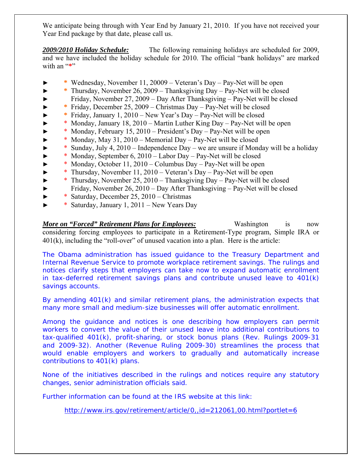We anticipate being through with Year End by January 21, 2010. If you have not received your Year End package by that date, please call us.

*2009/2010 Holiday Schedule:* The following remaining holidays are scheduled for 2009, and we have included the holiday schedule for 2010. The official "bank holidays" are marked with an "\*"

- ► **\*** Wednesday, November 11, 20009 Veteran's Day Pay-Net will be open
- ► **\*** Thursday, November 26, 2009 Thanksgiving Day Pay-Net will be closed
- ► Friday, November 27, 2009 Day After Thanksgiving Pay-Net will be closed
- ► **\*** Friday, December 25, 2009 Christmas Day Pay-Net will be closed
- ► **\*** Friday, January 1, 2010 New Year's Day Pay-Net will be closed
- ► \* Monday, January 18, 2010 Martin Luther King Day Pay-Net will be open
- \* Monday, February 15, 2010 President's Day Pay-Net will be open
- ► \* Monday, May 31, 2010 Memorial Day Pay-Net will be closed
- ► \* Sunday, July 4, 2010 Independence Day we are unsure if Monday will be a holiday
- ► \* Monday, September 6, 2010 Labor Day Pay-Net will be closed
- ► \* Monday, October 11, 2010 Columbus Day Pay-Net will be open
- ► \* Thursday, November 11, 2010 Veteran's Day Pay-Net will be open
- ► \* Thursday, November 25, 2010 Thanksgiving Day Pay-Net will be closed
- ► Friday, November 26, 2010 Day After Thanksgiving Pay-Net will be closed
- ► \* Saturday, December 25, 2010 Christmas
- ► \* Saturday, January 1, 2011 New Years Day

*More on "Forced" Retirement Plans for Employees:* Washington is now considering forcing employees to participate in a Retirement-Type program, Simple IRA or 401(k), including the "roll-over" of unused vacation into a plan. Here is the article:

The Obama administration has issued guidance to the Treasury Department and Internal Revenue Service to promote workplace retirement savings. The rulings and notices clarify steps that employers can take now to expand automatic enrollment in tax-deferred retirement savings plans and contribute unused leave to 401(k) savings accounts.

By amending 401(k) and similar retirement plans, the administration expects that many more small and medium-size businesses will offer automatic enrollment.

Among the guidance and notices is one describing how employers can permit workers to convert the value of their unused leave into additional contributions to tax-qualified 401(k), profit-sharing, or stock bonus plans (Rev. Rulings 2009-31 and 2009-32). Another (Revenue Ruling 2009-30) streamlines the process that would enable employers and workers to gradually and automatically increase contributions to 401(k) plans.

None of the initiatives described in the rulings and notices require any statutory changes, senior administration officials said.

Further information can be found at the IRS website at this link:

<http://www.irs.gov/retirement/article/0,,id=212061,00.html?portlet=6>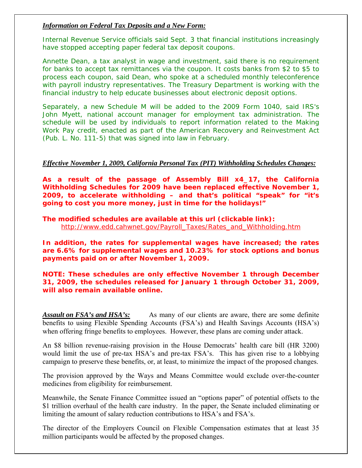#### *Information on Federal Tax Deposits and a New Form:*

Internal Revenue Service officials said Sept. 3 that financial institutions increasingly have stopped accepting paper federal tax deposit coupons.

Annette Dean, a tax analyst in wage and investment, said there is no requirement for banks to accept tax remittances via the coupon. It costs banks from \$2 to \$5 to process each coupon, said Dean, who spoke at a scheduled monthly teleconference with payroll industry representatives. The Treasury Department is working with the financial industry to help educate businesses about electronic deposit options.

Separately, a new Schedule M will be added to the 2009 Form 1040, said IRS's John Myett, national account manager for employment tax administration. The schedule will be used by individuals to report information related to the Making Work Pay credit, enacted as part of the American Recovery and Reinvestment Act (Pub. L. No. 111-5) that was signed into law in February.

#### *Effective November 1, 2009, California Personal Tax (PIT) Withholding Schedules Changes:*

**As a result of the passage of Assembly Bill x4\_17, the California Withholding Schedules for 2009 have been replaced effective November 1, 2009, to accelerate withholding – and that's political "speak" for "it's going to cost you more money, just in time for the holidays!"** 

**The modified schedules are available at this url (clickable link):**  [http://www.edd.cahwnet.gov/Payroll\\_Taxes/Rates\\_and\\_Withholding.htm](http://www.edd.cahwnet.gov/Payroll_Taxes/Rates_and_Withholding.htm)

**In addition, the rates for supplemental wages have increased; the rates are 6.6% for supplemental wages and 10.23% for stock options and bonus payments paid on or after November 1, 2009.** 

**NOTE: These schedules are only effective November 1 through December 31, 2009, the schedules released for January 1 through October 31, 2009, will also remain available online.** 

*Assault on FSA's and HSA's:* As many of our clients are aware, there are some definite benefits to using Flexible Spending Accounts (FSA's) and Health Savings Accounts (HSA's) when offering fringe benefits to employees. However, these plans are coming under attack.

An \$8 billion revenue-raising provision in the House Democrats' health care bill (HR 3200) would limit the use of pre-tax HSA's and pre-tax FSA's. This has given rise to a lobbying campaign to preserve these benefits, or, at least, to minimize the impact of the proposed changes.

The provision approved by the Ways and Means Committee would exclude over-the-counter medicines from eligibility for reimbursement.

Meanwhile, the Senate Finance Committee issued an "options paper" of potential offsets to the \$1 trillion overhaul of the health care industry. In the paper, the Senate included eliminating or limiting the amount of salary reduction contributions to HSA's and FSA's.

The director of the Employers Council on Flexible Compensation estimates that at least 35 million participants would be affected by the proposed changes.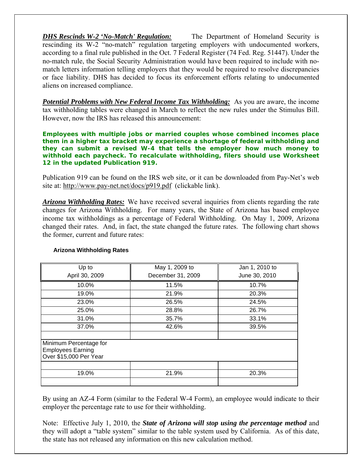*DHS Rescinds W-2 'No-Match' Regulation:* The Department of Homeland Security is rescinding its W-2 "no-match" regulation targeting employers with undocumented workers, according to a final rule published in the Oct. 7 Federal Register (74 Fed. Reg. 51447). Under the no-match rule, the Social Security Administration would have been required to include with nomatch letters information telling employers that they would be required to resolve discrepancies or face liability. DHS has decided to focus its enforcement efforts relating to undocumented aliens on increased compliance.

*Potential Problems with New Federal Income Tax Withholding:* As you are aware, the income tax withholding tables were changed in March to reflect the new rules under the Stimulus Bill. However, now the IRS has released this announcement:

**Employees with multiple jobs or married couples whose combined incomes place them in a higher tax bracket may experience a shortage of federal withholding and they can submit a revised W-4 that tells the employer how much money to withhold each paycheck. To recalculate withholding, filers should use Worksheet 12 in the updated Publication 919.** 

Publication 919 can be found on the IRS web site, or it can be downloaded from Pay-Net's web site at: <http://www.pay-net.net/docs/p919.pdf>(clickable link).

*Arizona Withholding Rates:* We have received several inquiries from clients regarding the rate changes for Arizona Withholding. For many years, the State of Arizona has based employee income tax withholdings as a percentage of Federal Withholding. On May 1, 2009, Arizona changed their rates. And, in fact, the state changed the future rates. The following chart shows the former, current and future rates:

| Up to                                                                        | May 1, 2009 to    | Jan 1, 2010 to |
|------------------------------------------------------------------------------|-------------------|----------------|
| April 30, 2009                                                               | December 31, 2009 | June 30, 2010  |
| 10.0%                                                                        | 11.5%             | 10.7%          |
| 19.0%                                                                        | 21.9%             | 20.3%          |
| 23.0%                                                                        | 26.5%             | 24.5%          |
| 25.0%                                                                        | 28.8%             | 26.7%          |
| 31.0%                                                                        | 35.7%             | 33.1%          |
| 37.0%                                                                        | 42.6%             | 39.5%          |
| Minimum Percentage for<br><b>Employees Earning</b><br>Over \$15,000 Per Year |                   |                |
| 19.0%                                                                        | 21.9%             | 20.3%          |

#### **Arizona Withholding Rates**

By using an AZ-4 Form (similar to the Federal W-4 Form), an employee would indicate to their employer the percentage rate to use for their withholding.

Note: Effective July 1, 2010, the *State of Arizona will stop using the percentage method* and they will adopt a "table system" similar to the table system used by California. As of this date, the state has not released any information on this new calculation method.